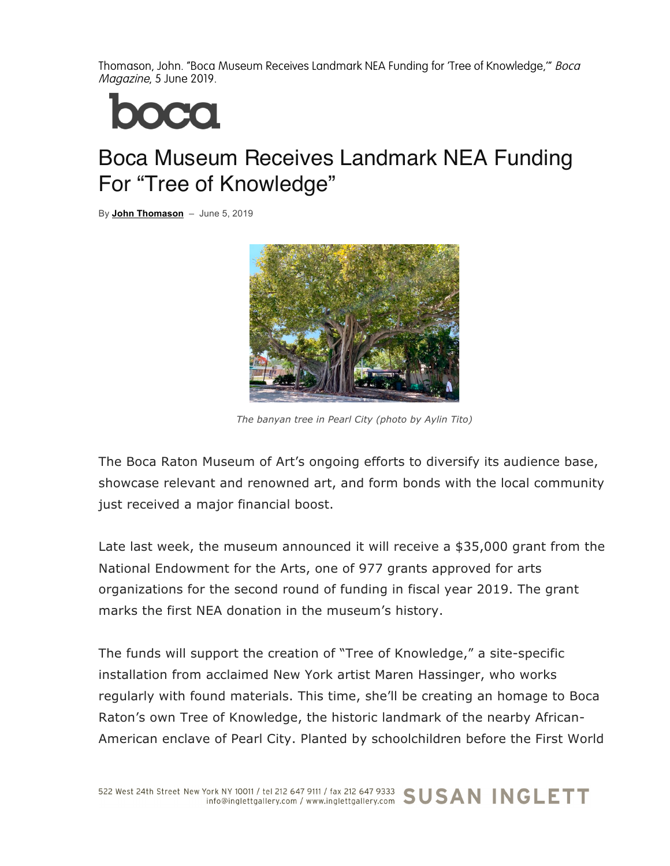Thomason, John. "Boca Museum Receives Landmark NEA Funding for 'Tree of Knowledge," Boca Magazine, 5 June 2019.



## Boca Museum Receives Landmark NEA Funding For "Tree of Knowledge"

By **John Thomason** – June 5, 2019



*The banyan tree in Pearl City (photo by Aylin Tito)*

The Boca Raton Museum of Art's ongoing efforts to diversify its audience base, showcase relevant and renowned art, and form bonds with the local community just received a major financial boost.

Late last week, the museum announced it will receive a \$35,000 grant from the National Endowment for the Arts, one of 977 grants approved for arts organizations for the second round of funding in fiscal year 2019. The grant marks the first NEA donation in the museum's history.

The funds will support the creation of "Tree of Knowledge," a site-specific installation from acclaimed New York artist Maren Hassinger, who works regularly with found materials. This time, she'll be creating an homage to Boca Raton's own Tree of Knowledge, the historic landmark of the nearby African-American enclave of Pearl City. Planted by schoolchildren before the First World